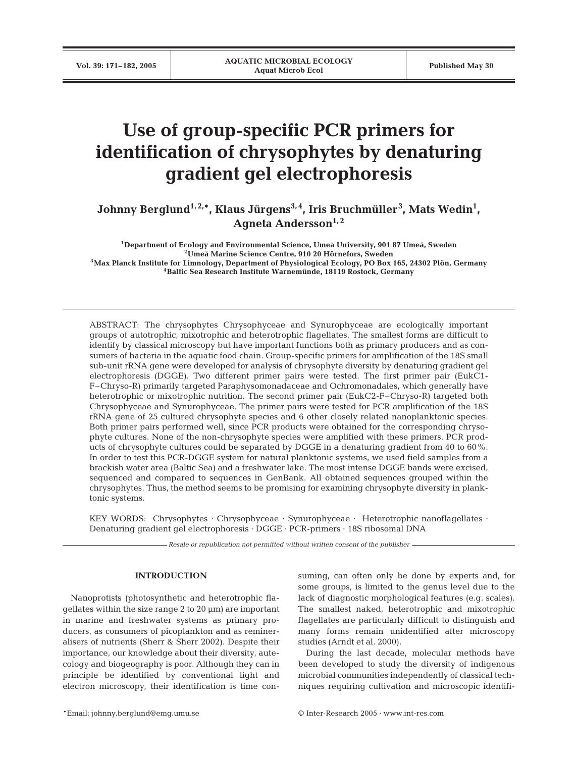# **Use of group-specific PCR primers for identification of chrysophytes by denaturing gradient gel electrophoresis**

Johnny Berglund<sup>1,2,\*</sup>, Klaus Jürgens<sup>3,4</sup>, Iris Bruchmüller<sup>3</sup>, Mats Wedin<sup>1</sup>, Agneta Andersson<sup>1,2</sup>

**1Department of Ecology and Environmental Science, Umeå University, 901 87 Umeå, Sweden 2Umeå Marine Science Centre, 910 20 Hörnefors, Sweden 3Max Planck Institute for Limnology, Department of Physiological Ecology, PO Box 165, 24302 Plön, Germany 4Baltic Sea Research Institute Warnemünde, 18119 Rostock, Germany**

ABSTRACT: The chrysophytes Chrysophyceae and Synurophyceae are ecologically important groups of autotrophic, mixotrophic and heterotrophic flagellates. The smallest forms are difficult to identify by classical microscopy but have important functions both as primary producers and as consumers of bacteria in the aquatic food chain. Group-specific primers for amplification of the 18S small sub-unit rRNA gene were developed for analysis of chrysophyte diversity by denaturing gradient gel electrophoresis (DGGE). Two different primer pairs were tested. The first primer pair (EukC1- F–Chryso-R) primarily targeted Paraphysomonadaceae and Ochromonadales, which generally have heterotrophic or mixotrophic nutrition. The second primer pair (EukC2-F–Chryso-R) targeted both Chrysophyceae and Synurophyceae. The primer pairs were tested for PCR amplification of the 18S rRNA gene of 25 cultured chrysophyte species and 6 other closely related nanoplanktonic species. Both primer pairs performed well, since PCR products were obtained for the corresponding chrysophyte cultures. None of the non-chrysophyte species were amplified with these primers. PCR products of chrysophyte cultures could be separated by DGGE in a denaturing gradient from 40 to 60%. In order to test this PCR-DGGE system for natural planktonic systems, we used field samples from a brackish water area (Baltic Sea) and a freshwater lake. The most intense DGGE bands were excised, sequenced and compared to sequences in GenBank. All obtained sequences grouped within the chrysophytes. Thus, the method seems to be promising for examining chrysophyte diversity in planktonic systems.

KEY WORDS: Chrysophytes · Chrysophyceae · Synurophyceae · Heterotrophic nanoflagellates · Denaturing gradient gel electrophoresis · DGGE · PCR-primers · 18S ribosomal DNA

*Resale or republication not permitted without written consent of the publisher*

#### **INTRODUCTION**

Nanoprotists (photosynthetic and heterotrophic flagellates within the size range 2 to 20 µm) are important in marine and freshwater systems as primary producers, as consumers of picoplankton and as remineralisers of nutrients (Sherr & Sherr 2002). Despite their importance, our knowledge about their diversity, autecology and biogeography is poor. Although they can in principle be identified by conventional light and electron microscopy, their identification is time con-

suming, can often only be done by experts and, for some groups, is limited to the genus level due to the lack of diagnostic morphological features (e.g. scales). The smallest naked, heterotrophic and mixotrophic flagellates are particularly difficult to distinguish and many forms remain unidentified after microscopy studies (Arndt et al. 2000).

During the last decade, molecular methods have been developed to study the diversity of indigenous microbial communities independently of classical techniques requiring cultivation and microscopic identifi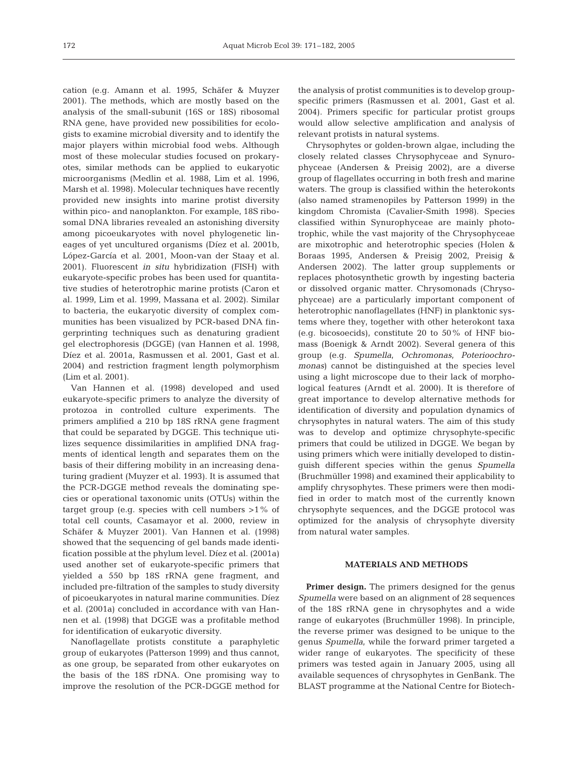cation (e.g. Amann et al. 1995, Schäfer & Muyzer 2001). The methods, which are mostly based on the analysis of the small-subunit (16S or 18S) ribosomal RNA gene, have provided new possibilities for ecologists to examine microbial diversity and to identify the major players within microbial food webs. Although most of these molecular studies focused on prokaryotes, similar methods can be applied to eukaryotic microorganisms (Medlin et al. 1988, Lim et al. 1996, Marsh et al. 1998). Molecular techniques have recently provided new insights into marine protist diversity within pico- and nanoplankton. For example, 18S ribosomal DNA libraries revealed an astonishing diversity among picoeukaryotes with novel phylogenetic lineages of yet uncultured organisms (Díez et al. 2001b, López-García et al. 2001, Moon-van der Staay et al. 2001). Fluorescent *in situ* hybridization (FISH) with eukaryote-specific probes has been used for quantitative studies of heterotrophic marine protists (Caron et al. 1999, Lim et al. 1999, Massana et al. 2002). Similar to bacteria, the eukaryotic diversity of complex communities has been visualized by PCR-based DNA fingerprinting techniques such as denaturing gradient gel electrophoresis (DGGE) (van Hannen et al. 1998, Díez et al. 2001a, Rasmussen et al. 2001, Gast et al. 2004) and restriction fragment length polymorphism (Lim et al. 2001).

Van Hannen et al. (1998) developed and used eukaryote-specific primers to analyze the diversity of protozoa in controlled culture experiments. The primers amplified a 210 bp 18S rRNA gene fragment that could be separated by DGGE. This technique utilizes sequence dissimilarities in amplified DNA fragments of identical length and separates them on the basis of their differing mobility in an increasing denaturing gradient (Muyzer et al. 1993). It is assumed that the PCR-DGGE method reveals the dominating species or operational taxonomic units (OTUs) within the target group (e.g. species with cell numbers  $>1\%$  of total cell counts, Casamayor et al. 2000, review in Schäfer & Muyzer 2001). Van Hannen et al. (1998) showed that the sequencing of gel bands made identification possible at the phylum level. Díez et al. (2001a) used another set of eukaryote-specific primers that yielded a 550 bp 18S rRNA gene fragment, and included pre-filtration of the samples to study diversity of picoeukaryotes in natural marine communities. Díez et al. (2001a) concluded in accordance with van Hannen et al. (1998) that DGGE was a profitable method for identification of eukaryotic diversity.

Nanoflagellate protists constitute a paraphyletic group of eukaryotes (Patterson 1999) and thus cannot, as one group, be separated from other eukaryotes on the basis of the 18S rDNA. One promising way to improve the resolution of the PCR-DGGE method for

the analysis of protist communities is to develop groupspecific primers (Rasmussen et al. 2001, Gast et al. 2004). Primers specific for particular protist groups would allow selective amplification and analysis of relevant protists in natural systems.

Chrysophytes or golden-brown algae, including the closely related classes Chrysophyceae and Synurophyceae (Andersen & Preisig 2002), are a diverse group of flagellates occurring in both fresh and marine waters. The group is classified within the heterokonts (also named stramenopiles by Patterson 1999) in the kingdom Chromista (Cavalier-Smith 1998). Species classified within Synurophyceae are mainly phototrophic, while the vast majority of the Chrysophyceae are mixotrophic and heterotrophic species (Holen & Boraas 1995, Andersen & Preisig 2002, Preisig & Andersen 2002). The latter group supplements or replaces photosynthetic growth by ingesting bacteria or dissolved organic matter. Chrysomonads (Chrysophyceae) are a particularly important component of heterotrophic nanoflagellates (HNF) in planktonic systems where they, together with other heterokont taxa (e.g. bicosoecids), constitute 20 to 50% of HNF biomass (Boenigk & Arndt 2002). Several genera of this group (e.g. *Spumella*, *Ochromonas*, *Poterioochromonas*) cannot be distinguished at the species level using a light microscope due to their lack of morphological features (Arndt et al. 2000). It is therefore of great importance to develop alternative methods for identification of diversity and population dynamics of chrysophytes in natural waters. The aim of this study was to develop and optimize chrysophyte-specific primers that could be utilized in DGGE. We began by using primers which were initially developed to distinguish different species within the genus *Spumella* (Bruchmüller 1998) and examined their applicability to amplify chrysophytes. These primers were then modified in order to match most of the currently known chrysophyte sequences, and the DGGE protocol was optimized for the analysis of chrysophyte diversity from natural water samples.

# **MATERIALS AND METHODS**

**Primer design.** The primers designed for the genus *Spumella* were based on an alignment of 28 sequences of the 18S rRNA gene in chrysophytes and a wide range of eukaryotes (Bruchmüller 1998). In principle, the reverse primer was designed to be unique to the genus *Spumella*, while the forward primer targeted a wider range of eukaryotes. The specificity of these primers was tested again in January 2005, using all available sequences of chrysophytes in GenBank. The BLAST programme at the National Centre for Biotech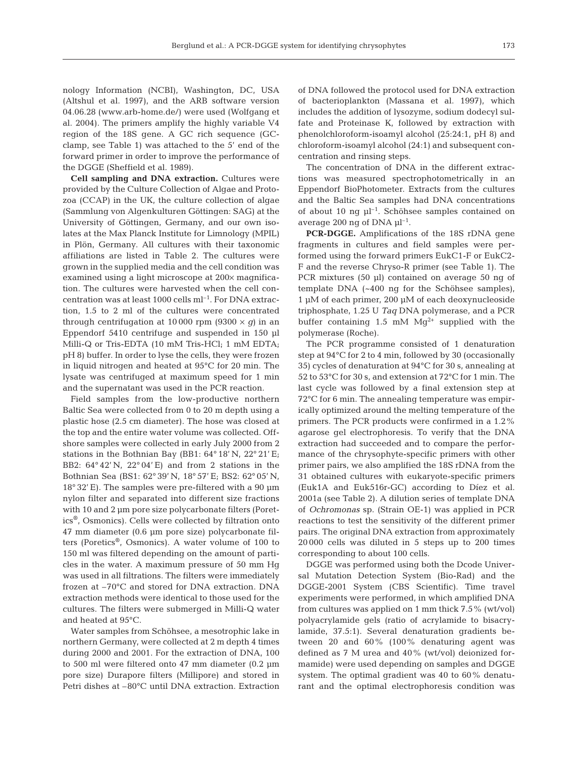nology Information (NCBI), Washington, DC, USA (Altshul et al. 1997), and the ARB software version 04.06.28 (www.arb-home.de/) were used (Wolfgang et al. 2004). The primers amplify the highly variable V4 region of the 18S gene. A GC rich sequence (GCclamp, see Table 1) was attached to the 5' end of the forward primer in order to improve the performance of the DGGE (Sheffield et al. 1989).

**Cell sampling and DNA extraction.** Cultures were provided by the Culture Collection of Algae and Protozoa (CCAP) in the UK, the culture collection of algae (Sammlung von Algenkulturen Göttingen: SAG) at the University of Göttingen, Germany, and our own isolates at the Max Planck Institute for Limnology (MPIL) in Plön, Germany. All cultures with their taxonomic affiliations are listed in Table 2. The cultures were grown in the supplied media and the cell condition was examined using a light microscope at 200× magnification. The cultures were harvested when the cell concentration was at least 1000 cells  $ml^{-1}$ . For DNA extraction, 1.5 to 2 ml of the cultures were concentrated through centrifugation at 10 000 rpm (9300  $\times$  *g*) in an Eppendorf 5410 centrifuge and suspended in 150 µl Milli-Q or Tris-EDTA (10 mM Tris-HCl; 1 mM EDTA; pH 8) buffer. In order to lyse the cells, they were frozen in liquid nitrogen and heated at 95°C for 20 min. The lysate was centrifuged at maximum speed for 1 min and the supernatant was used in the PCR reaction.

Field samples from the low-productive northern Baltic Sea were collected from 0 to 20 m depth using a plastic hose (2.5 cm diameter). The hose was closed at the top and the entire water volume was collected. Offshore samples were collected in early July 2000 from 2 stations in the Bothnian Bay (BB1:  $64^{\circ}$  18' N,  $22^{\circ}$  21' E; BB2: 64° 42' N, 22° 04' E) and from 2 stations in the Bothnian Sea (BS1: 62° 39' N, 18° 57' E; BS2: 62° 05' N, 18° 32' E). The samples were pre-filtered with a 90 µm nylon filter and separated into different size fractions with 10 and 2 µm pore size polycarbonate filters (Poretics®, Osmonics). Cells were collected by filtration onto 47 mm diameter (0.6 µm pore size) polycarbonate filters (Poretics®, Osmonics). A water volume of 100 to 150 ml was filtered depending on the amount of particles in the water. A maximum pressure of 50 mm Hg was used in all filtrations. The filters were immediately frozen at –70°C and stored for DNA extraction. DNA extraction methods were identical to those used for the cultures. The filters were submerged in Milli-Q water and heated at 95°C.

Water samples from Schöhsee, a mesotrophic lake in northern Germany, were collected at 2 m depth 4 times during 2000 and 2001. For the extraction of DNA, 100 to 500 ml were filtered onto 47 mm diameter (0.2 µm pore size) Durapore filters (Millipore) and stored in Petri dishes at –80°C until DNA extraction. Extraction

of DNA followed the protocol used for DNA extraction of bacterioplankton (Massana et al. 1997), which includes the addition of lysozyme, sodium dodecyl sulfate and Proteinase K, followed by extraction with phenolchloroform-isoamyl alcohol (25:24:1, pH 8) and chloroform-isoamyl alcohol (24:1) and subsequent concentration and rinsing steps.

The concentration of DNA in the different extractions was measured spectrophotometrically in an Eppendorf BioPhotometer. Extracts from the cultures and the Baltic Sea samples had DNA concentrations of about 10 ng  $\mu$ <sup>-1</sup>. Schöhsee samples contained on average 200 ng of DNA  $\mu$ <sup>-1</sup>.

**PCR-DGGE.** Amplifications of the 18S rDNA gene fragments in cultures and field samples were performed using the forward primers EukC1-F or EukC2- F and the reverse Chryso-R primer (see Table 1). The PCR mixtures (50 µl) contained on average 50 ng of template DNA (~400 ng for the Schöhsee samples), 1 µM of each primer, 200 µM of each deoxynucleoside triphosphate, 1.25 U *Taq* DNA polymerase, and a PCR buffer containing 1.5 mM  $Mg^{2+}$  supplied with the polymerase (Roche).

The PCR programme consisted of 1 denaturation step at 94°C for 2 to 4 min, followed by 30 (occasionally 35) cycles of denaturation at 94°C for 30 s, annealing at 52 to 53°C for 30 s, and extension at 72°C for 1 min. The last cycle was followed by a final extension step at 72°C for 6 min. The annealing temperature was empirically optimized around the melting temperature of the primers. The PCR products were confirmed in a 1.2% agarose gel electrophoresis. To verify that the DNA extraction had succeeded and to compare the performance of the chrysophyte-specific primers with other primer pairs, we also amplified the 18S rDNA from the 31 obtained cultures with eukaryote-specific primers (Euk1A and Euk516r-GC) according to Díez et al. 2001a (see Table 2). A dilution series of template DNA of *Ochromonas* sp. (Strain OE-1) was applied in PCR reactions to test the sensitivity of the different primer pairs. The original DNA extraction from approximately 20 000 cells was diluted in 5 steps up to 200 times corresponding to about 100 cells.

DGGE was performed using both the Dcode Universal Mutation Detection System (Bio-Rad) and the DGGE-2001 System (CBS Scientific). Time travel experiments were performed, in which amplified DNA from cultures was applied on 1 mm thick 7.5% (wt/vol) polyacrylamide gels (ratio of acrylamide to bisacrylamide, 37.5:1). Several denaturation gradients between 20 and 60% (100% denaturing agent was defined as 7 M urea and 40% (wt/vol) deionized formamide) were used depending on samples and DGGE system. The optimal gradient was 40 to 60% denaturant and the optimal electrophoresis condition was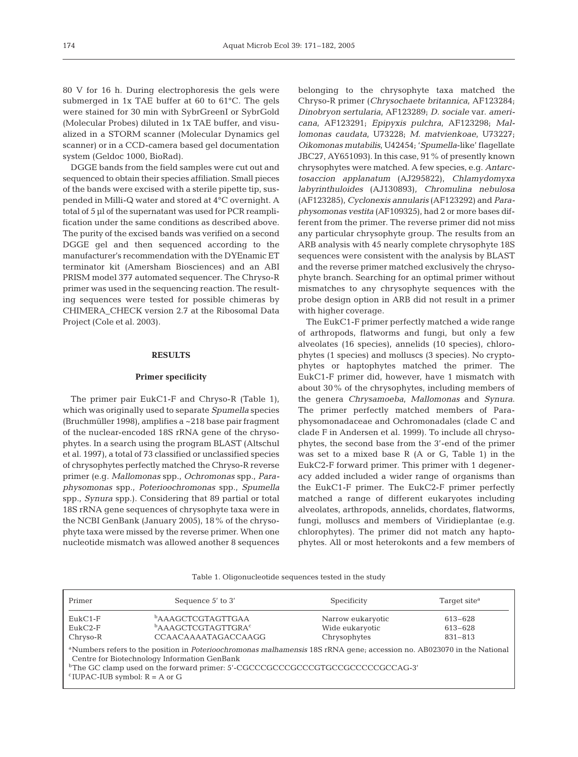80 V for 16 h. During electrophoresis the gels were submerged in 1x TAE buffer at 60 to 61°C. The gels were stained for 30 min with SybrGreenI or SybrGold (Molecular Probes) diluted in 1x TAE buffer, and visualized in a STORM scanner (Molecular Dynamics gel scanner) or in a CCD-camera based gel documentation system (Geldoc 1000, BioRad).

DGGE bands from the field samples were cut out and sequenced to obtain their species affiliation. Small pieces of the bands were excised with a sterile pipette tip, suspended in Milli-Q water and stored at 4°C overnight. A total of 5 µl of the supernatant was used for PCR reamplification under the same conditions as described above. The purity of the excised bands was verified on a second DGGE gel and then sequenced according to the manufacturer's recommendation with the DYEnamic ET terminator kit (Amersham Biosciences) and an ABI PRISM model 377 automated sequencer. The Chryso-R primer was used in the sequencing reaction. The resulting sequences were tested for possible chimeras by CHIMERA\_CHECK version 2.7 at the Ribosomal Data Project (Cole et al. 2003).

### **RESULTS**

#### **Primer specificity**

The primer pair EukC1-F and Chryso-R (Table 1), which was originally used to separate *Spumella* species (Bruchmüller 1998), amplifies a ~218 base pair fragment of the nuclear-encoded 18S rRNA gene of the chrysophytes. In a search using the program BLAST (Altschul et al. 1997), a total of 73 classified or unclassified species of chrysophytes perfectly matched the Chryso-R reverse primer (e.g. *Mallomonas* spp., *Ochromonas* spp., *Paraphysomonas* spp., *Poterioochromonas* spp., *Spumella* spp., *Synura* spp.). Considering that 89 partial or total 18S rRNA gene sequences of chrysophyte taxa were in the NCBI GenBank (January 2005), 18% of the chrysophyte taxa were missed by the reverse primer. When one nucleotide mismatch was allowed another 8 sequences

belonging to the chrysophyte taxa matched the Chryso-R primer (*Chrysochaete britannica*, AF123284; *Dinobryon sertularia*, AF123289; *D. sociale* var. *americana*, AF123291; *Epipyxis pulchra*, AF123298; *Mallomonas caudata*, U73228; *M. matvienkoae*, U73227; *Oikomonas mutabilis*, U42454; '*Spumella*-like' flagellate JBC27, AY651093). In this case, 91% of presently known chrysophytes were matched. A few species, e.g. *Antarctosaccion applanatum* (AJ295822), *Chlamydomyxa labyrinthuloides* (AJ130893), *Chromulina nebulosa* (AF123285), *Cyclonexis annularis* (AF123292) and *Paraphysomonas vestita* (AF109325), had 2 or more bases different from the primer. The reverse primer did not miss any particular chrysophyte group. The results from an ARB analysis with 45 nearly complete chrysophyte 18S sequences were consistent with the analysis by BLAST and the reverse primer matched exclusively the chrysophyte branch. Searching for an optimal primer without mismatches to any chrysophyte sequences with the probe design option in ARB did not result in a primer with higher coverage.

The EukC1-F primer perfectly matched a wide range of arthropods, flatworms and fungi, but only a few alveolates (16 species), annelids (10 species), chlorophytes (1 species) and molluscs (3 species). No cryptophytes or haptophytes matched the primer. The EukC1-F primer did, however, have 1 mismatch with about 30% of the chrysophytes, including members of the genera *Chrysamoeba*, *Mallomonas* and *Synura*. The primer perfectly matched members of Paraphysomonadaceae and Ochromonadales (clade C and clade F in Andersen et al. 1999). To include all chrysophytes, the second base from the 3'-end of the primer was set to a mixed base R (A or G, Table 1) in the EukC2-F forward primer. This primer with 1 degeneracy added included a wider range of organisms than the EukC1-F primer. The EukC2-F primer perfectly matched a range of different eukaryotes including alveolates, arthropods, annelids, chordates, flatworms, fungi, molluscs and members of Viridieplantae (e.g. chlorophytes). The primer did not match any haptophytes. All or most heterokonts and a few members of

Table 1. Oligonucleotide sequences tested in the study

| Primer                                  | Sequence 5' to 3'                                                                                                                                                                         | Specificity       | Target site <sup>a</sup> |
|-----------------------------------------|-------------------------------------------------------------------------------------------------------------------------------------------------------------------------------------------|-------------------|--------------------------|
| $EukC1-F$                               | <b>bAAAGCTCGTAGTTGAA</b>                                                                                                                                                                  | Narrow eukaryotic | 613-628                  |
| $EukC2-F$                               | <b>bAAAGCTCGTAGTTGRA<sup>c</sup></b>                                                                                                                                                      | Wide eukaryotic   | 613-628                  |
| Chryso-R                                | <b>CCAACAAAATAGACCAAGG</b>                                                                                                                                                                | Chrysophytes      | 831-813                  |
|                                         | <sup>a</sup> Numbers refers to the position in <i>Poterioochromonas malhamensis</i> 18S rRNA gene; accession no. AB023070 in the National<br>Centre for Biotechnology Information GenBank |                   |                          |
|                                         | <sup>b</sup> The GC clamp used on the forward primer: 5'-CGCCCGCCGCCGTGCCGCCCCCCGCCAG-3'                                                                                                  |                   |                          |
| $^{\circ}$ IUPAC-IUB symbol: R = A or G |                                                                                                                                                                                           |                   |                          |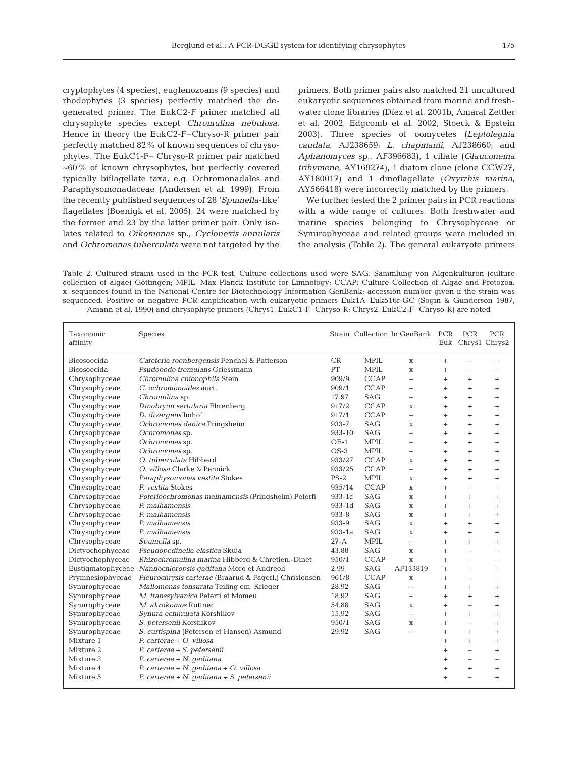cryptophytes (4 species), euglenozoans (9 species) and rhodophytes (3 species) perfectly matched the degenerated primer. The EukC2-F primer matched all chrysophyte species except *Chromulina nebulosa*. Hence in theory the EukC2-F–Chryso-R primer pair perfectly matched 82% of known sequences of chrysophytes. The EukC1-F– Chryso-R primer pair matched ~60% of known chrysophytes, but perfectly covered typically biflagellate taxa, e.g. Ochromonadales and Paraphysomonadaceae (Andersen et al. 1999). From the recently published sequences of 28 '*Spumella*-like' flagellates (Boenigk et al. 2005), 24 were matched by the former and 23 by the latter primer pair. Only isolates related to *Oikomonas* sp., *Cyclonexis annularis* and *Ochromonas tuberculata* were not targeted by the

primers. Both primer pairs also matched 21 uncultured eukaryotic sequences obtained from marine and freshwater clone libraries (Díez et al. 2001b, Amaral Zettler et al. 2002, Edgcomb et al. 2002, Stoeck & Epstein 2003). Three species of oomycetes (*Leptolegnia caudata*, AJ238659; *L. chapmanii*, AJ238660; and *Aphanomyces* sp., AF396683), 1 ciliate (*Glauconema trihymene*, AY169274), 1 diatom clone (clone CCW27, AY180017) and 1 dinoflagellate (*Oxyrrhis marina*, AY566418) were incorrectly matched by the primers.

We further tested the 2 primer pairs in PCR reactions with a wide range of cultures. Both freshwater and marine species belonging to Chrysophyceae or Synurophyceae and related groups were included in the analysis (Table 2). The general eukaryote primers

Table 2. Cultured strains used in the PCR test. Culture collections used were SAG: Sammlung von Algenkulturen (culture collection of algae) Göttingen; MPIL: Max Planck Institute for Limnology; CCAP: Culture Collection of Algae and Protozoa. x: sequences found in the National Centre for Biotechnology Information GenBank; accession number given if the strain was sequenced. Positive or negative PCR amplification with eukaryotic primers Euk1A–Euk516r-GC (Sogin & Gunderson 1987, Amann et al. 1990) and chrysophyte primers (Chrys1: EukC1-F–Chryso-R; Chrys2: EukC2-F–Chryso-R) are noted

| Taxonomic<br>affinity | Species                                                |            |             | Strain Collection In GenBank PCR |           | PCR<br>Euk Chrys1 Chrys2 | <b>PCR</b>               |
|-----------------------|--------------------------------------------------------|------------|-------------|----------------------------------|-----------|--------------------------|--------------------------|
| <b>Bicosoecida</b>    | Cafeteria roenbergensis Fenchel & Patterson            | CR         | <b>MPIL</b> | $\mathbf x$                      | $^{+}$    | $\overline{\phantom{0}}$ |                          |
| <b>Bicosoecida</b>    | Psudobodo tremulans Griessmann                         | PT         | <b>MPIL</b> | $\mathbf{x}$                     | $^{+}$    | $\overline{\phantom{0}}$ |                          |
| Chrysophyceae         | Chromulina chionophila Stein                           | 909/9      | <b>CCAP</b> | $\overline{a}$                   | $^{+}$    | $^{+}$                   | $^{+}$                   |
| Chrysophyceae         | C. ochromonoides auct.                                 | 909/1      | <b>CCAP</b> | $\equiv$                         | $^{+}$    | $^{+}$                   | $\ddot{}$                |
| Chrysophyceae         | Chromulina sp.                                         | 17.97      | SAG         | $\overline{\phantom{0}}$         | $^{+}$    | $^{+}$                   | $\ddot{}$                |
| Chrysophyceae         | Dinobryon sertularia Ehrenberg                         | 917/2      | <b>CCAP</b> | X                                | $^{+}$    | $^{+}$                   | $^{+}$                   |
| Chrysophyceae         | D. divergens Imhof                                     | 917/1      | <b>CCAP</b> | $\overline{a}$                   | $^{+}$    | $^{+}$                   | $^{+}$                   |
| Chrysophyceae         | Ochromonas danica Pringsheim                           | 933-7      | <b>SAG</b>  | X                                | $^{+}$    | $^{+}$                   | $^{+}$                   |
| Chrysophyceae         | Ochromonas sp.                                         | 933-10     | <b>SAG</b>  | $\overline{\phantom{0}}$         | $+$       | $+$                      | $\ddot{}$                |
| Chrysophyceae         | Ochromonas sp.                                         | $OE-1$     | <b>MPIL</b> |                                  | $+$       | $^{+}$                   | $\ddot{}$                |
| Chrysophyceae         | Ochromonas sp.                                         | $OS-3$     | <b>MPIL</b> | $\equiv$                         | $+$       | $^{+}$                   | $\ddot{}$                |
| Chrysophyceae         | O. tuberculata Hibberd                                 | 933/27     | <b>CCAP</b> | X                                | $+$       | $+$                      | $\ddot{}$                |
| Chrysophyceae         | O. villosa Clarke & Pennick                            | 933/25     | <b>CCAP</b> | $\overline{\phantom{0}}$         | $^{+}$    | $^{+}$                   | $^{+}$                   |
| Chrysophyceae         | Paraphysomonas vestita Stokes                          | $PS-2$     | <b>MPIL</b> | X                                | $+$       | $^{+}$                   | $^{+}$                   |
| Chrysophyceae         | P. vestita Stokes                                      | 935/14     | <b>CCAP</b> | X                                | $^{+}$    | $\overline{\phantom{0}}$ | $\overline{a}$           |
| Chrysophyceae         | Poterioochromonas malhamensis (Pringsheim) Peterfi     | 933-1c     | <b>SAG</b>  | $\mathbf x$                      | $^{+}$    | $^{+}$                   | $^{+}$                   |
| Chrysophyceae         | P. malhamensis                                         | 933-1d     | <b>SAG</b>  | $\mathbf x$                      | $^{+}$    | $^{+}$                   | $\ddot{}$                |
| Chrysophyceae         | P. malhamensis                                         | 933-8      | <b>SAG</b>  | $\mathbf x$                      | $^{+}$    | $^{+}$                   | $^{+}$                   |
| Chrysophyceae         | P. malhamensis                                         | 933-9      | <b>SAG</b>  | $\mathbf x$                      | $\ddot{}$ | $+$                      | $\ddot{}$                |
| Chrysophyceae         | P. malhamensis                                         | $933 - 1a$ | <b>SAG</b>  | $\mathbf x$                      | $^{+}$    | $^{+}$                   | $\ddot{}$                |
| Chrysophyceae         | Spumella sp.                                           | $27-A$     | <b>MPIL</b> | $\overline{\phantom{a}}$         | $^{+}$    | $^{+}$                   | $^{+}$                   |
| Dictyochophyceae      | Pseudopedinella elastica Skuja                         | 43.88      | <b>SAG</b>  | X                                | $^{+}$    | $\overline{a}$           | $\overline{a}$           |
| Dictyochophyceae      | Rhizochromulina marina Hibberd & Chretien.-Dinet       | 950/1      | <b>CCAP</b> | $\mathbf x$                      | $^{+}$    | $\overline{\phantom{a}}$ | $\equiv$                 |
| Eustigmatophyceae     | Nannochloropsis gaditana Moro et Andreoli              | 2.99       | <b>SAG</b>  | AF133819                         | $^{+}$    | $\overline{\phantom{0}}$ |                          |
| Prymnesiophyceae      | Pleurochrysis carterae (Braarud & Fagerl.) Christensen | 961/8      | <b>CCAP</b> | $\mathbf x$                      | $^{+}$    | $\overline{\phantom{0}}$ | $\overline{\phantom{0}}$ |
| Synurophyceae         | Mallomonas tonsurata Teiling em. Krieger               | 28.92      | <b>SAG</b>  | $\overline{\phantom{0}}$         | $+$       | $+$                      | $^{+}$                   |
| Synurophyceae         | M. transsylvanica Peterfi et Momeu                     | 18.92      | <b>SAG</b>  | $\overline{\phantom{0}}$         | $+$       | $^{+}$                   | $^{+}$                   |
| Synurophyceae         | M. akrokomos Ruttner                                   | 54.88      | <b>SAG</b>  | X                                | $+$       | $\overline{\phantom{0}}$ | $\ddot{}$                |
| Synurophyceae         | Synura echinulata Korshikov                            | 15.92      | <b>SAG</b>  | $\overline{\phantom{0}}$         | $^{+}$    | $^{+}$                   | $^{+}$                   |
| Synurophyceae         | S. petersenii Korshikov                                | 950/1      | <b>SAG</b>  | X                                | $^{+}$    | $\overline{\phantom{0}}$ | $^{+}$                   |
| Synurophyceae         | S. curtispina (Petersen et Hansen) Asmund              | 29.92      | <b>SAG</b>  |                                  | $^{+}$    | $^{+}$                   | $^{+}$                   |
| Mixture 1             | P. carterae + O. villosa                               |            |             |                                  | $^{+}$    | $^{+}$                   | $^{+}$                   |
| Mixture 2             | P. carterae + S. petersenii                            |            |             |                                  | $\ddot{}$ | $\overline{a}$           | $\ddot{}$                |
| Mixture 3             | P. carterae + N. gaditana                              |            |             |                                  | $\ddot{}$ | $\overline{\phantom{0}}$ |                          |
| Mixture 4             | P. carterae + N. gaditana + O. villosa                 |            |             |                                  | $\ddot{}$ | $^{+}$                   | $^{+}$                   |
| Mixture 5             | P. carterae + N. gaditana + S. petersenii              |            |             |                                  | $^{+}$    | $\overline{\phantom{0}}$ | $+$                      |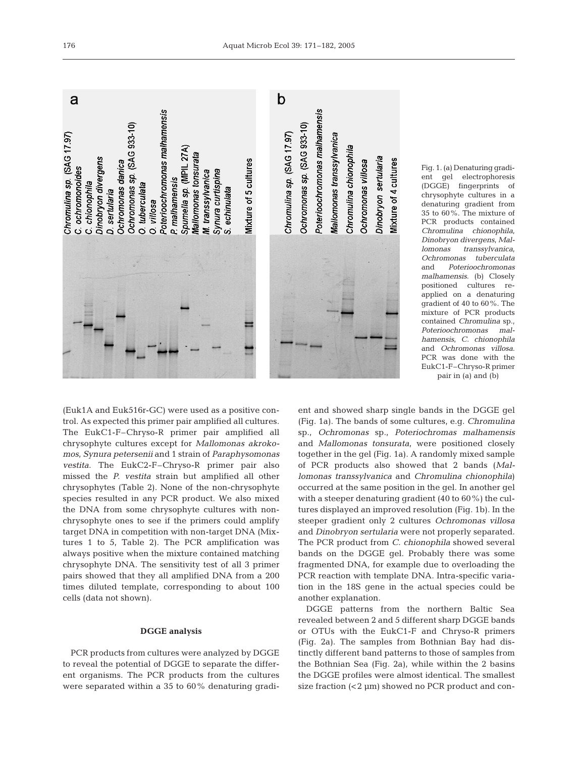

Fig. 1. (a) Denaturing gradient gel electrophoresis (DGGE) fingerprints of chrysophyte cultures in a denaturing gradient from 35 to 60%. The mixture of PCR products contained *Chromulina chionophila*, *Dinobryon divergens*, *Mallomonas transsylvanica, Ochromonas tuberculata* and *Poterioochromonas malhamensis*. (b) Closely positioned cultures reapplied on a denaturing gradient of 40 to 60%. The mixture of PCR products contained *Chromulina* sp., *Poterioochromonas malhamensis*, *C. chionophila* and *Ochromonas villosa*. PCR was done with the EukC1-F–Chryso-R primer pair in (a) and (b)

(Euk1A and Euk516r-GC) were used as a positive control. As expected this primer pair amplified all cultures. The EukC1-F–Chryso-R primer pair amplified all chrysophyte cultures except for *Mallomonas akrokomos*, *Synura petersenii* and 1 strain of *Paraphysomonas vestita*. The EukC2-F–Chryso-R primer pair also missed the *P. vestita* strain but amplified all other chrysophytes (Table 2). None of the non-chrysophyte species resulted in any PCR product. We also mixed the DNA from some chrysophyte cultures with nonchrysophyte ones to see if the primers could amplify target DNA in competition with non-target DNA (Mixtures 1 to 5, Table 2). The PCR amplification was always positive when the mixture contained matching chrysophyte DNA. The sensitivity test of all 3 primer

# **DGGE analysis**

pairs showed that they all amplified DNA from a 200 times diluted template, corresponding to about 100

cells (data not shown).

PCR products from cultures were analyzed by DGGE to reveal the potential of DGGE to separate the different organisms. The PCR products from the cultures were separated within a 35 to 60% denaturing gradient and showed sharp single bands in the DGGE gel (Fig. 1a). The bands of some cultures, e.g. *Chromulina* sp., *Ochromonas* sp., *Poteriochromas malhamensis* and *Mallomonas tonsurata*, were positioned closely together in the gel (Fig. 1a). A randomly mixed sample of PCR products also showed that 2 bands (*Mallomonas transsylvanica* and *Chromulina chionophila*) occurred at the same position in the gel. In another gel with a steeper denaturing gradient (40 to 60%) the cultures displayed an improved resolution (Fig. 1b). In the steeper gradient only 2 cultures *Ochromonas villosa* and *Dinobryon sertularia* were not properly separated. The PCR product from *C. chionophila* showed several bands on the DGGE gel. Probably there was some fragmented DNA, for example due to overloading the PCR reaction with template DNA. Intra-specific variation in the 18S gene in the actual species could be another explanation.

DGGE patterns from the northern Baltic Sea revealed between 2 and 5 different sharp DGGE bands or OTUs with the EukC1-F and Chryso-R primers (Fig. 2a). The samples from Bothnian Bay had distinctly different band patterns to those of samples from the Bothnian Sea (Fig. 2a), while within the 2 basins the DGGE profiles were almost identical. The smallest size fraction  $( $2 \mu m$ ) showed no PCR product and con-$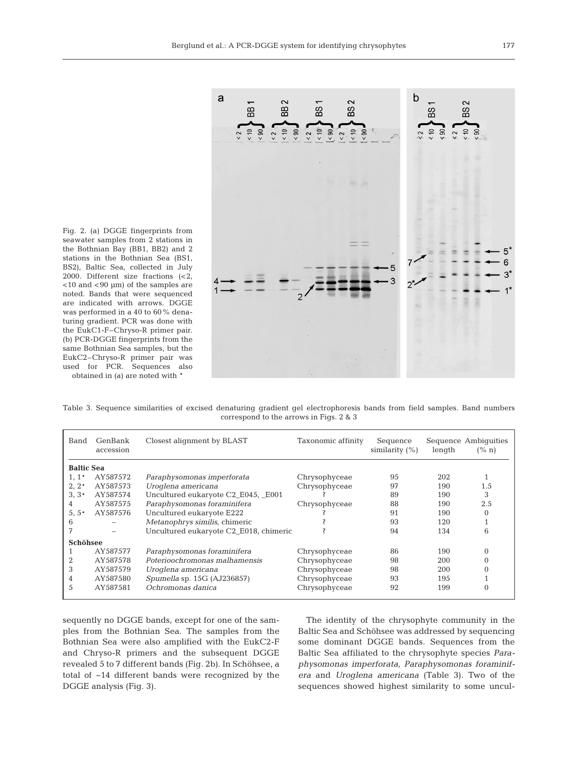

Fig. 2. (a) DGGE fingerprints from seawater samples from 2 stations in the Bothnian Bay (BB1, BB2) and 2 stations in the Bothnian Sea (BS1, BS2), Baltic Sea, collected in July 2000. Different size fractions (<2,  $<$ 10 and  $<$ 90  $\mu$ m) of the samples are noted. Bands that were sequenced are indicated with arrows. DGGE was performed in a 40 to 60% denaturing gradient. PCR was done with the EukC1-F–Chryso-R primer pair. (b) PCR-DGGE fingerprints from the same Bothnian Sea samples, but the EukC2–Chryso-R primer pair was used for PCR. Sequences also obtained in (a) are noted with \*

Table 3. Sequence similarities of excised denaturing gradient gel electrophoresis bands from field samples. Band numbers correspond to the arrows in Figs. 2 & 3

| Band              | GenBank<br>accession | Closest alignment by BLAST             | Taxonomic affinity | Sequence<br>similarity $(\% )$ | length | Sequence Ambiquities<br>$(\%$ n) |
|-------------------|----------------------|----------------------------------------|--------------------|--------------------------------|--------|----------------------------------|
| <b>Baltic Sea</b> |                      |                                        |                    |                                |        |                                  |
| $1.1*$            | AY587572             | Paraphysomonas imperforata             | Chrysophyceae      | 95                             | 202    |                                  |
| $2.2*$            | AY587573             | Uroglena americana                     | Chrysophyceae      | 97                             | 190    | 1.5                              |
| $3.3*$            | AY587574             | Uncultured eukaryote C2_E045, _E001    |                    | 89                             | 190    | 3                                |
| 4                 | AY587575             | Paraphysomonas foraminifera            | Chrysophyceae      | 88                             | 190    | 2.5                              |
| $5, 5*$           | AY587576             | Uncultured eukaryote E222              |                    | 91                             | 190    | $\Omega$                         |
| 6                 | -                    | Metanophrys similis, chimeric          |                    | 93                             | 120    |                                  |
| 7                 | $-$                  | Uncultured eukaryote C2 E018, chimeric |                    | 94                             | 134    | 6                                |
| <b>Schöhsee</b>   |                      |                                        |                    |                                |        |                                  |
|                   | AY587577             | Paraphysomonas foraminifera            | Chrysophyceae      | 86                             | 190    | $\Omega$                         |
| 2                 | AY587578             | Poterioochromonas malhamensis          | Chrysophyceae      | 98                             | 200    | $\Omega$                         |
| 3                 | AY587579             | Uroglena americana                     | Chrysophyceae      | 98                             | 200    |                                  |
| 4                 | AY587580             | <i>Spumella sp.</i> 15G (AJ236857)     | Chrysophyceae      | 93                             | 195    |                                  |
| 5                 | AY587581             | Ochromonas danica                      | Chrysophyceae      | 92                             | 199    | $\Omega$                         |

sequently no DGGE bands, except for one of the samples from the Bothnian Sea. The samples from the Bothnian Sea were also amplified with the EukC2-F and Chryso-R primers and the subsequent DGGE revealed 5 to 7 different bands (Fig. 2b). In Schöhsee, a total of ~14 different bands were recognized by the DGGE analysis (Fig. 3).

The identity of the chrysophyte community in the Baltic Sea and Schöhsee was addressed by sequencing some dominant DGGE bands. Sequences from the Baltic Sea affiliated to the chrysophyte species *Paraphysomonas imperforata*, *Paraphysomonas foraminifera* and *Uroglena americana* (Table 3). Two of the sequences showed highest similarity to some uncul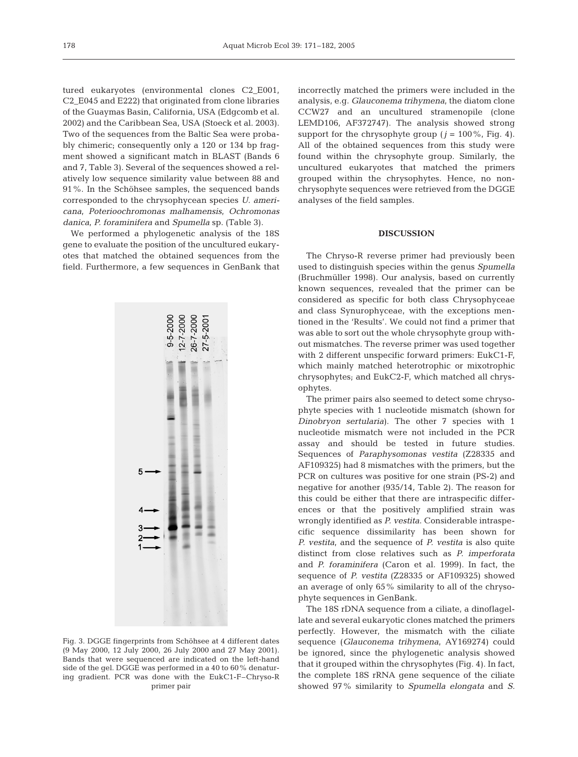tured eukaryotes (environmental clones C2\_E001, C2\_E045 and E222) that originated from clone libraries of the Guaymas Basin, California, USA (Edgcomb et al. 2002) and the Caribbean Sea, USA (Stoeck et al. 2003). Two of the sequences from the Baltic Sea were probably chimeric; consequently only a 120 or 134 bp fragment showed a significant match in BLAST (Bands 6 and 7, Table 3). Several of the sequences showed a relatively low sequence similarity value between 88 and 91%. In the Schöhsee samples, the sequenced bands corresponded to the chrysophycean species *U. americana*, *Poterioochromonas malhamensis*, *Ochromonas danica*, *P. foraminifera* and *Spumella* sp. (Table 3).

We performed a phylogenetic analysis of the 18S gene to evaluate the position of the uncultured eukaryotes that matched the obtained sequences from the field. Furthermore, a few sequences in GenBank that



Fig. 3. DGGE fingerprints from Schöhsee at 4 different dates (9 May 2000, 12 July 2000, 26 July 2000 and 27 May 2001). Bands that were sequenced are indicated on the left-hand side of the gel. DGGE was performed in a 40 to 60% denaturing gradient. PCR was done with the EukC1-F–Chryso-R primer pair

incorrectly matched the primers were included in the analysis, e.g. *Glauconema trihymena*, the diatom clone CCW27 and an uncultured stramenopile (clone LEMD106, AF372747). The analysis showed strong support for the chrysophyte group  $(j = 100\%$ , Fig. 4). All of the obtained sequences from this study were found within the chrysophyte group. Similarly, the uncultured eukaryotes that matched the primers grouped within the chrysophytes. Hence, no nonchrysophyte sequences were retrieved from the DGGE analyses of the field samples.

## **DISCUSSION**

The Chryso-R reverse primer had previously been used to distinguish species within the genus *Spumella* (Bruchmüller 1998). Our analysis, based on currently known sequences, revealed that the primer can be considered as specific for both class Chrysophyceae and class Synurophyceae, with the exceptions mentioned in the 'Results'. We could not find a primer that was able to sort out the whole chrysophyte group without mismatches. The reverse primer was used together with 2 different unspecific forward primers: EukC1-F, which mainly matched heterotrophic or mixotrophic chrysophytes; and EukC2-F, which matched all chrysophytes.

The primer pairs also seemed to detect some chrysophyte species with 1 nucleotide mismatch (shown for *Dinobryon sertularia*). The other 7 species with 1 nucleotide mismatch were not included in the PCR assay and should be tested in future studies. Sequences of *Paraphysomonas vestita* (Z28335 and AF109325) had 8 mismatches with the primers, but the PCR on cultures was positive for one strain (PS-2) and negative for another (935/14, Table 2). The reason for this could be either that there are intraspecific differences or that the positively amplified strain was wrongly identified as *P. vestita*. Considerable intraspecific sequence dissimilarity has been shown for *P. vestita,* and the sequence of *P. vestita* is also quite distinct from close relatives such as *P. imperforata* and *P. foraminifera* (Caron et al. 1999). In fact, the sequence of *P. vestita* (Z28335 or AF109325) showed an average of only 65% similarity to all of the chrysophyte sequences in GenBank.

The 18S rDNA sequence from a ciliate, a dinoflagellate and several eukaryotic clones matched the primers perfectly. However, the mismatch with the ciliate sequence (*Glauconema trihymena*, AY169274) could be ignored, since the phylogenetic analysis showed that it grouped within the chrysophytes (Fig. 4). In fact, the complete 18S rRNA gene sequence of the ciliate showed 97% similarity to *Spumella elongata* and *S.*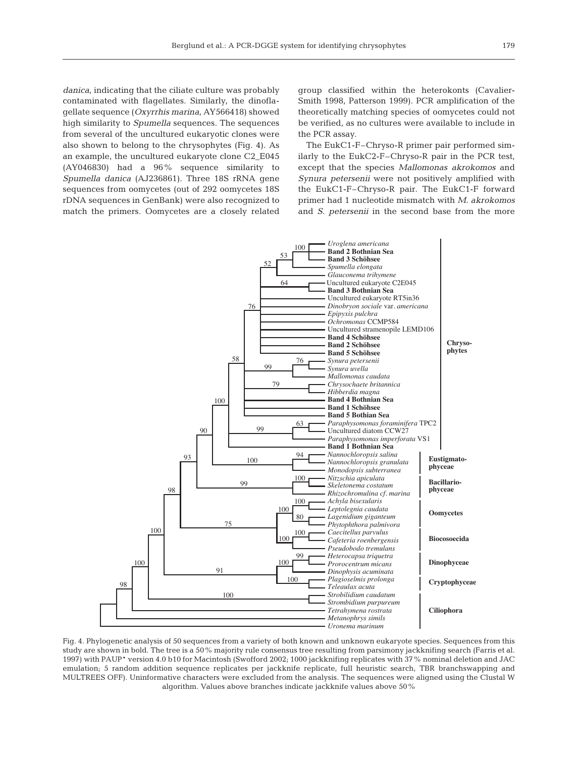*danica*, indicating that the ciliate culture was probably contaminated with flagellates. Similarly, the dinoflagellate sequence (*Oxyrrhis marina*, AY566418) showed high similarity to *Spumella* sequences. The sequences from several of the uncultured eukaryotic clones were also shown to belong to the chrysophytes (Fig. 4). As an example, the uncultured eukaryote clone C2\_E045 (AY046830) had a 96% sequence similarity to *Spumella danica* (AJ236861). Three 18S rRNA gene sequences from oomycetes (out of 292 oomycetes 18S rDNA sequences in GenBank) were also recognized to match the primers. Oomycetes are a closely related group classified within the heterokonts (Cavalier-Smith 1998, Patterson 1999). PCR amplification of the theoretically matching species of oomycetes could not be verified, as no cultures were available to include in the PCR assay.

The EukC1-F–Chryso-R primer pair performed similarly to the EukC2-F–Chryso-R pair in the PCR test, except that the species *Mallomonas akrokomos* and *Synura petersenii* were not positively amplified with the EukC1-F–Chryso-R pair. The EukC1-F forward primer had 1 nucleotide mismatch with *M. akrokomos* and *S. petersenii* in the second base from the more



Fig. 4. Phylogenetic analysis of 50 sequences from a variety of both known and unknown eukaryote species. Sequences from this study are shown in bold. The tree is a 50% majority rule consensus tree resulting from parsimony jackknifing search (Farris et al. 1997) with PAUP\* version 4.0 b10 for Macintosh (Swofford 2002; 1000 jackknifing replicates with 37% nominal deletion and JAC emulation; 5 random addition sequence replicates per jackknife replicate, full heuristic search, TBR branchswapping and MULTREES OFF). Uninformative characters were excluded from the analysis. The sequences were aligned using the Clustal W algorithm. Values above branches indicate jackknife values above 50%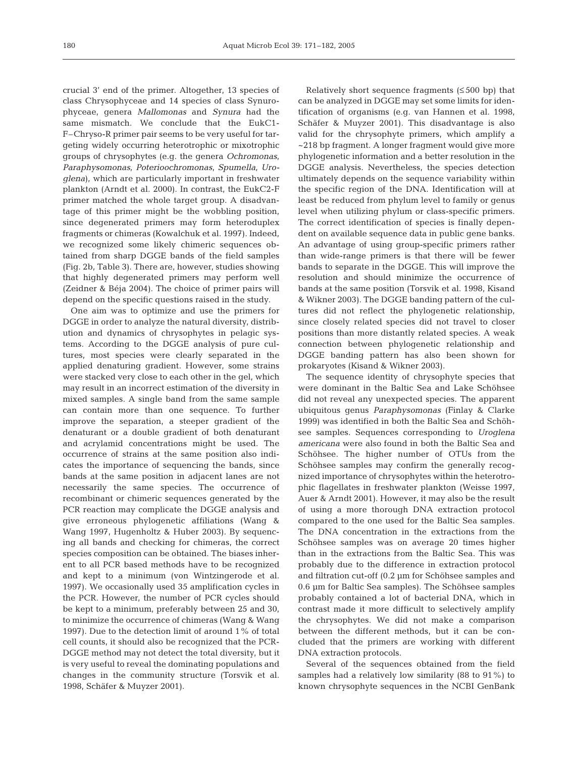crucial 3' end of the primer. Altogether, 13 species of class Chrysophyceae and 14 species of class Synurophyceae, genera *Mallomonas* and *Synura* had the same mismatch. We conclude that the EukC1- F–Chryso-R primer pair seems to be very useful for targeting widely occurring heterotrophic or mixotrophic groups of chrysophytes (e.g. the genera *Ochromonas*, *Paraphysomonas*, *Poterioochromonas*, *Spumella*, *Uroglena*), which are particularly important in freshwater plankton (Arndt et al. 2000). In contrast, the EukC2-F primer matched the whole target group. A disadvantage of this primer might be the wobbling position, since degenerated primers may form heteroduplex fragments or chimeras (Kowalchuk et al. 1997). Indeed, we recognized some likely chimeric sequences obtained from sharp DGGE bands of the field samples (Fig. 2b, Table 3). There are, however, studies showing that highly degenerated primers may perform well (Zeidner & Béja 2004). The choice of primer pairs will depend on the specific questions raised in the study.

One aim was to optimize and use the primers for DGGE in order to analyze the natural diversity, distribution and dynamics of chrysophytes in pelagic systems. According to the DGGE analysis of pure cultures, most species were clearly separated in the applied denaturing gradient. However, some strains were stacked very close to each other in the gel, which may result in an incorrect estimation of the diversity in mixed samples. A single band from the same sample can contain more than one sequence. To further improve the separation, a steeper gradient of the denaturant or a double gradient of both denaturant and acrylamid concentrations might be used. The occurrence of strains at the same position also indicates the importance of sequencing the bands, since bands at the same position in adjacent lanes are not necessarily the same species. The occurrence of recombinant or chimeric sequences generated by the PCR reaction may complicate the DGGE analysis and give erroneous phylogenetic affiliations (Wang & Wang 1997, Hugenholtz & Huber 2003). By sequencing all bands and checking for chimeras, the correct species composition can be obtained. The biases inherent to all PCR based methods have to be recognized and kept to a minimum (von Wintzingerode et al. 1997). We occasionally used 35 amplification cycles in the PCR. However, the number of PCR cycles should be kept to a minimum, preferably between 25 and 30, to minimize the occurrence of chimeras (Wang & Wang 1997). Due to the detection limit of around 1% of total cell counts, it should also be recognized that the PCR-DGGE method may not detect the total diversity, but it is very useful to reveal the dominating populations and changes in the community structure (Torsvik et al. 1998, Schäfer & Muyzer 2001).

Relatively short sequence fragments (≤ 500 bp) that can be analyzed in DGGE may set some limits for identification of organisms (e.g. van Hannen et al. 1998, Schäfer & Muyzer 2001). This disadvantage is also valid for the chrysophyte primers, which amplify a ~218 bp fragment. A longer fragment would give more phylogenetic information and a better resolution in the DGGE analysis. Nevertheless, the species detection ultimately depends on the sequence variability within the specific region of the DNA. Identification will at least be reduced from phylum level to family or genus level when utilizing phylum or class-specific primers. The correct identification of species is finally dependent on available sequence data in public gene banks. An advantage of using group-specific primers rather than wide-range primers is that there will be fewer bands to separate in the DGGE. This will improve the resolution and should minimize the occurrence of bands at the same position (Torsvik et al. 1998, Kisand & Wikner 2003). The DGGE banding pattern of the cultures did not reflect the phylogenetic relationship, since closely related species did not travel to closer positions than more distantly related species. A weak connection between phylogenetic relationship and DGGE banding pattern has also been shown for prokaryotes (Kisand & Wikner 2003).

The sequence identity of chrysophyte species that were dominant in the Baltic Sea and Lake Schöhsee did not reveal any unexpected species. The apparent ubiquitous genus *Paraphysomonas* (Finlay & Clarke 1999) was identified in both the Baltic Sea and Schöhsee samples. Sequences corresponding to *Uroglena americana* were also found in both the Baltic Sea and Schöhsee. The higher number of OTUs from the Schöhsee samples may confirm the generally recognized importance of chrysophytes within the heterotrophic flagellates in freshwater plankton (Weisse 1997, Auer & Arndt 2001). However, it may also be the result of using a more thorough DNA extraction protocol compared to the one used for the Baltic Sea samples. The DNA concentration in the extractions from the Schöhsee samples was on average 20 times higher than in the extractions from the Baltic Sea. This was probably due to the difference in extraction protocol and filtration cut-off (0.2 µm for Schöhsee samples and 0.6 µm for Baltic Sea samples). The Schöhsee samples probably contained a lot of bacterial DNA, which in contrast made it more difficult to selectively amplify the chrysophytes. We did not make a comparison between the different methods, but it can be concluded that the primers are working with different DNA extraction protocols.

Several of the sequences obtained from the field samples had a relatively low similarity (88 to 91%) to known chrysophyte sequences in the NCBI GenBank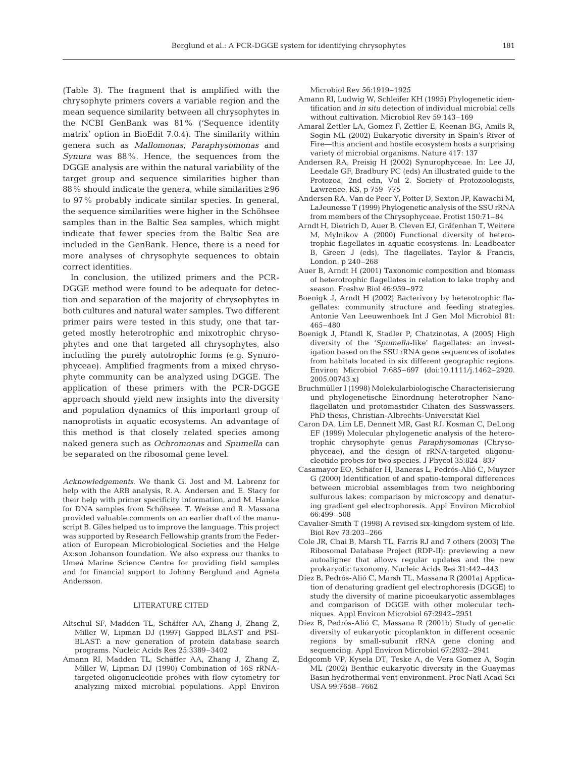(Table 3). The fragment that is amplified with the chrysophyte primers covers a variable region and the mean sequence similarity between all chrysophytes in the NCBI GenBank was 81% ('Sequence identity matrix' option in BioEdit 7.0.4). The similarity within genera such as *Mallomonas*, *Paraphysomonas* and *Synura* was 88%. Hence, the sequences from the DGGE analysis are within the natural variability of the target group and sequence similarities higher than 88% should indicate the genera, while similarities ≥96 to 97% probably indicate similar species. In general, the sequence similarities were higher in the Schöhsee samples than in the Baltic Sea samples, which might indicate that fewer species from the Baltic Sea are included in the GenBank. Hence, there is a need for more analyses of chrysophyte sequences to obtain correct identities.

In conclusion, the utilized primers and the PCR-DGGE method were found to be adequate for detection and separation of the majority of chrysophytes in both cultures and natural water samples. Two different primer pairs were tested in this study, one that targeted mostly heterotrophic and mixotrophic chrysophytes and one that targeted all chrysophytes, also including the purely autotrophic forms (e.g. Synurophyceae). Amplified fragments from a mixed chrysophyte community can be analyzed using DGGE. The application of these primers with the PCR-DGGE approach should yield new insights into the diversity and population dynamics of this important group of nanoprotists in aquatic ecosystems. An advantage of this method is that closely related species among naked genera such as *Ochromonas* and *Spumella* can be separated on the ribosomal gene level.

*Acknowledgements*. We thank G. Jost and M. Labrenz for help with the ARB analysis, R. A. Andersen and E. Stacy for their help with primer specificity information, and M. Hanke for DNA samples from Schöhsee. T. Weisse and R. Massana provided valuable comments on an earlier draft of the manuscript B. Giles helped us to improve the language. This project was supported by Research Fellowship grants from the Federation of European Microbiological Societies and the Helge Ax:son Johanson foundation. We also express our thanks to Umeå Marine Science Centre for providing field samples and for financial support to Johnny Berglund and Agneta Andersson.

#### LITERATURE CITED

- Altschul SF, Madden TL, Schäffer AA, Zhang J, Zhang Z, Miller W, Lipman DJ (1997) Gapped BLAST and PSI-BLAST: a new generation of protein database search programs. Nucleic Acids Res 25:3389–3402
- Amann RI, Madden TL, Schäffer AA, Zhang J, Zhang Z, Miller W, Lipman DJ (1990) Combination of 16S rRNAtargeted oligonucleotide probes with flow cytometry for analyzing mixed microbial populations. Appl Environ

Microbiol Rev 56:1919–1925

- Amann RI, Ludwig W, Schleifer KH (1995) Phylogenetic identification and *in situ* detection of individual microbial cells without cultivation. Microbiol Rev 59:143–169
- Amaral Zettler LA, Gomez F, Zettler E, Keenan BG, Amils R, Sogin ML (2002) Eukaryotic diversity in Spain's River of Fire—this ancient and hostile ecosystem hosts a surprising variety of microbial organisms. Nature 417: 137
- Andersen RA, Preisig H (2002) Synurophyceae. In: Lee JJ, Leedale GF, Bradbury PC (eds) An illustrated guide to the Protozoa, 2nd edn, Vol 2. Society of Protozoologists, Lawrence, KS, p 759–775
- Andersen RA, Van de Peer Y, Potter D, Sexton JP, Kawachi M, LaJeunesse T (1999) Phylogenetic analysis of the SSU rRNA from members of the Chrysophyceae. Protist 150:71–84
- Arndt H, Dietrich D, Auer B, Cleven EJ, Gräfenhan T, Weitere M, Mylnikov A (2000) Functional diversity of heterotrophic flagellates in aquatic ecosystems. In: Leadbeater B, Green J (eds), The flagellates. Taylor & Francis, London, p 240–268
- Auer B, Arndt H (2001) Taxonomic composition and biomass of heterotrophic flagellates in relation to lake trophy and season. Freshw Biol 46:959–972
- Boenigk J, Arndt H (2002) Bacterivory by heterotrophic flagellates: community structure and feeding strategies. Antonie Van Leeuwenhoek Int J Gen Mol Microbiol 81: 465–480
- Boenigk J, Pfandl K, Stadler P, Chatzinotas, A (2005) High diversity of the '*Spumella*-like' flagellates: an investigation based on the SSU rRNA gene sequences of isolates from habitats located in six different geographic regions. Environ Microbiol 7:685–697 (doi:10.1111/j.1462–2920. 2005.00743.x)
- Bruchmüller I (1998) Molekularbiologische Characterisierung und phylogenetische Einordnung heterotropher Nanoflagellaten und protomastider Ciliaten des Süsswassers. PhD thesis, Christian-Albrechts-Universität Kiel
- Caron DA, Lim LE, Dennett MR, Gast RJ, Kosman C, DeLong EF (1999) Molecular phylogenetic analysis of the heterotrophic chrysophyte genus *Paraphysomonas* (Chrysophyceae), and the design of rRNA-targeted oligonucleotide probes for two species. J Phycol 35:824–837
- Casamayor EO, Schäfer H, Baneras L, Pedrós-Alió C, Muyzer G (2000) Identification of and spatio-temporal differences between microbial assemblages from two neighboring sulfurous lakes: comparison by microscopy and denaturing gradient gel electrophoresis. Appl Environ Microbiol 66:499–508
- Cavalier-Smith T (1998) A revised six-kingdom system of life. Biol Rev 73:203–266
- Cole JR, Chai B, Marsh TL, Farris RJ and 7 others (2003) The Ribosomal Database Project (RDP-II): previewing a new autoaligner that allows regular updates and the new prokaryotic taxonomy. Nucleic Acids Res 31:442–443
- Díez B, Pedrós-Alió C, Marsh TL, Massana R (2001a) Application of denaturing gradient gel electrophoresis (DGGE) to study the diversity of marine picoeukaryotic assemblages and comparison of DGGE with other molecular techniques. Appl Environ Microbiol 67:2942–2951
- Díez B, Pedrós-Alió C, Massana R (2001b) Study of genetic diversity of eukaryotic picoplankton in different oceanic regions by small-subunit rRNA gene cloning and sequencing. Appl Environ Microbiol 67:2932–2941
- Edgcomb VP, Kysela DT, Teske A, de Vera Gomez A, Sogin ML (2002) Benthic eukaryotic diversity in the Guaymas Basin hydrothermal vent environment. Proc Natl Acad Sci USA 99:7658–7662